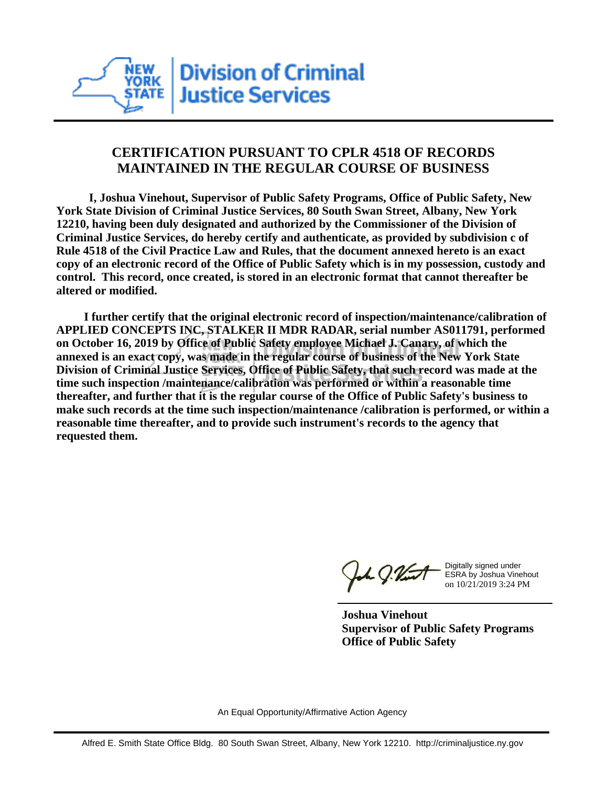

## **CERTIFICATION PURSUANT TO CPLR 4518 OF RECORDS MAINTAINED IN THE REGULAR COURSE OF BUSINESS**

 **I, Joshua Vinehout, Supervisor of Public Safety Programs, Office of Public Safety, New York State Division of Criminal Justice Services, 80 South Swan Street, Albany, New York 12210, having been duly designated and authorized by the Commissioner of the Division of Criminal Justice Services, do hereby certify and authenticate, as provided by subdivision c of Rule 4518 of the Civil Practice Law and Rules, that the document annexed hereto is an exact copy of an electronic record of the Office of Public Safety which is in my possession, custody and control. This record, once created, is stored in an electronic format that cannot thereafter be altered or modified.**

 **I further certify that the original electronic record of inspection/maintenance/calibration of APPLIED CONCEPTS INC, STALKER II MDR RADAR, serial number AS011791, performed on October 16, 2019 by Office of Public Safety employee Michael J. Canary, of which the annexed is an exact copy, was made in the regular course of business of the New York State Division of Criminal Justice Services, Office of Public Safety, that such record was made at the time such inspection /maintenance/calibration was performed or within a reasonable time thereafter, and further that it is the regular course of the Office of Public Safety's business to make such records at the time such inspection/maintenance /calibration is performed, or within a reasonable time thereafter, and to provide such instrument's records to the agency that requested them.**

the J. Vint

Digitally signed under ESRA by Joshua Vinehout on 10/21/2019 3:24 PM

**Joshua Vinehout Supervisor of Public Safety Programs Office of Public Safety**

An Equal Opportunity/Affirmative Action Agency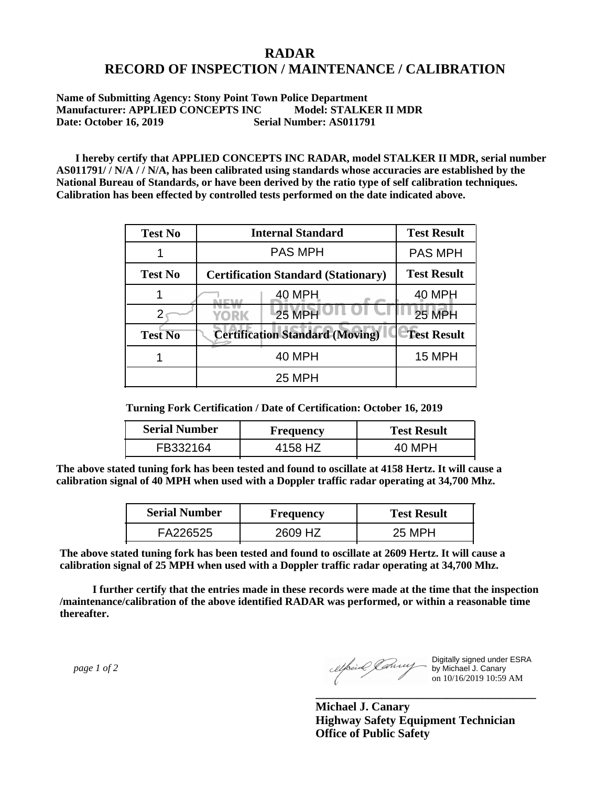## **RADAR RECORD OF INSPECTION / MAINTENANCE / CALIBRATION**

**Name of Submitting Agency: Stony Point Town Police Department Manufacturer: APPLIED CONCEPTS INC Model: STALKER II MDR Date: October 16, 2019 Serial Number: AS011791**

 **I hereby certify that APPLIED CONCEPTS INC RADAR, model STALKER II MDR, serial number AS011791/ / N/A / / N/A, has been calibrated using standards whose accuracies are established by the National Bureau of Standards, or have been derived by the ratio type of self calibration techniques. Calibration has been effected by controlled tests performed on the date indicated above.**

| <b>Test No</b> | <b>Internal Standard</b>                   | <b>Test Result</b> |
|----------------|--------------------------------------------|--------------------|
|                | <b>PAS MPH</b>                             | <b>PAS MPH</b>     |
| <b>Test No</b> | <b>Certification Standard (Stationary)</b> | <b>Test Result</b> |
|                | 40 MPH                                     | 40 MPH             |
|                | 25 MPH<br><b>YORK</b>                      | <b>25 MPH</b>      |
| <b>Test No</b> | <b>Certification Standard (Moving)</b>     | <b>Test Result</b> |
|                | <b>40 MPH</b>                              | 15 MPH             |
|                | <b>25 MPH</b>                              |                    |

**Turning Fork Certification / Date of Certification: October 16, 2019**

| <b>Serial Number</b> | <b>Frequency</b> | <b>Test Result</b> |
|----------------------|------------------|--------------------|
| FB332164             | .158 HZ          | 40 MPH             |

**The above stated tuning fork has been tested and found to oscillate at 4158 Hertz. It will cause a calibration signal of 40 MPH when used with a Doppler traffic radar operating at 34,700 Mhz.**

| <b>Serial Number</b> | Frequency | <b>Test Result</b> |
|----------------------|-----------|--------------------|
| FA226525             | 2609 HZ   | 25 MPH             |

**The above stated tuning fork has been tested and found to oscillate at 2609 Hertz. It will cause a calibration signal of 25 MPH when used with a Doppler traffic radar operating at 34,700 Mhz.**

 **I further certify that the entries made in these records were made at the time that the inspection /maintenance/calibration of the above identified RADAR was performed, or within a reasonable time thereafter.**

 *page 1 of 2* 

Digitally signed under ESRA by Michael J. Canary on 10/16/2019 10:59 AM

**Michael J. Canary Highway Safety Equipment Technician Office of Public Safety**

**\_\_\_\_\_\_\_\_\_\_\_\_\_\_\_\_\_\_\_\_\_\_\_\_\_\_\_\_\_\_\_\_\_\_\_\_\_**